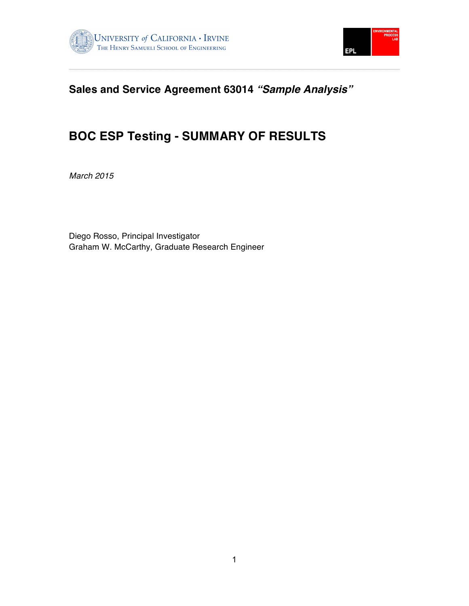



# **Sales and Service Agreement 63014** *"Sample Analysis"*

# **BOC ESP Testing - SUMMARY OF RESULTS**

*March 2015*

Diego Rosso, Principal Investigator Graham W. McCarthy, Graduate Research Engineer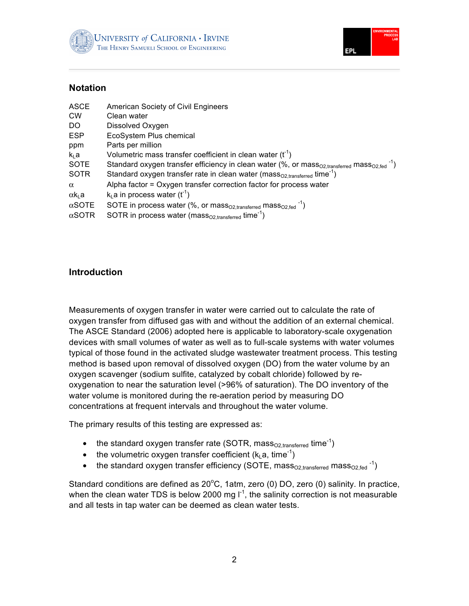



#### **Notation**

| <b>ASCE</b>               | American Society of Civil Engineers                                                                                             |
|---------------------------|---------------------------------------------------------------------------------------------------------------------------------|
| <b>CW</b>                 | Clean water                                                                                                                     |
| DO.                       | Dissolved Oxygen                                                                                                                |
| <b>ESP</b>                | EcoSystem Plus chemical                                                                                                         |
| ppm                       | Parts per million                                                                                                               |
| k∟a                       | Volumetric mass transfer coefficient in clean water $(t^{-1})$                                                                  |
| <b>SOTE</b>               | Standard oxygen transfer efficiency in clean water (%, or mass <sub>O2,transferred</sub> mass <sub>O2,fed</sub> <sup>-1</sup> ) |
| <b>SOTR</b>               | Standard oxygen transfer rate in clean water (mass <sub>O2.transferred</sub> time <sup>-1</sup> )                               |
| $\alpha$                  | Alpha factor = Oxygen transfer correction factor for process water                                                              |
| $\alpha$ k <sub>L</sub> a | $k_1$ a in process water (t <sup>-1</sup> )                                                                                     |
| $\alpha$ SOTE             | SOTE in process water (%, or mass <sub>O2, transferred</sub> mass <sub>O2, fed</sub> <sup>-1</sup> )                            |
| $\alpha$ SOTR             | SOTR in process water (mass <sub>O2.transferred</sub> time <sup>-1</sup> )                                                      |
|                           |                                                                                                                                 |

#### **Introduction**

Measurements of oxygen transfer in water were carried out to calculate the rate of oxygen transfer from diffused gas with and without the addition of an external chemical. The ASCE Standard (2006) adopted here is applicable to laboratory-scale oxygenation devices with small volumes of water as well as to full-scale systems with water volumes typical of those found in the activated sludge wastewater treatment process. This testing method is based upon removal of dissolved oxygen (DO) from the water volume by an oxygen scavenger (sodium sulfite, catalyzed by cobalt chloride) followed by reoxygenation to near the saturation level (>96% of saturation). The DO inventory of the water volume is monitored during the re-aeration period by measuring DO concentrations at frequent intervals and throughout the water volume.

The primary results of this testing are expressed as:

- the standard oxygen transfer rate (SOTR, mass $_{O2,transferred}$  time<sup>-1</sup>)
- the volumetric oxygen transfer coefficient ( $k<sub>L</sub>a$ , time<sup>-1</sup>)
- the standard oxygen transfer efficiency (SOTE, mass<sub>O2,transferred</sub> mass<sub>O2,fed</sub>  $^{-1}$ )

Standard conditions are defined as  $20^{\circ}$ C, 1atm, zero (0) DO, zero (0) salinity. In practice, when the clean water TDS is below 2000 mg  $I^{-1}$ , the salinity correction is not measurable and all tests in tap water can be deemed as clean water tests.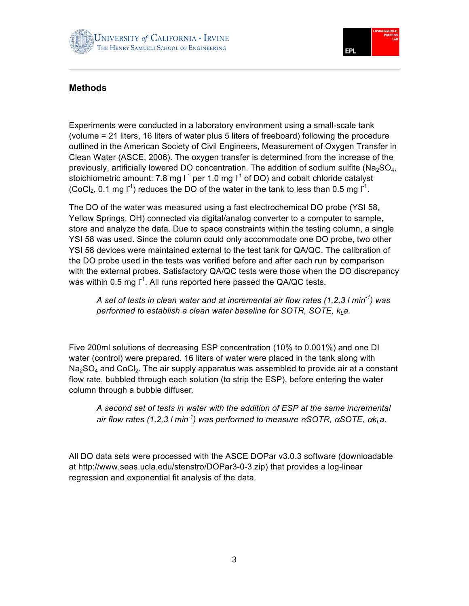



# **Methods**

Experiments were conducted in a laboratory environment using a small-scale tank (volume = 21 liters, 16 liters of water plus 5 liters of freeboard) following the procedure outlined in the American Society of Civil Engineers, Measurement of Oxygen Transfer in Clean Water (ASCE, 2006). The oxygen transfer is determined from the increase of the previously, artificially lowered DO concentration. The addition of sodium sulfite ( $Na<sub>2</sub>SO<sub>4</sub>$ , stoichiometric amount: 7.8 mg  $I^1$  per 1.0 mg  $I^1$  of DO) and cobalt chloride catalyst (CoCl<sub>2</sub>, 0.1 mg  $I^{-1}$ ) reduces the DO of the water in the tank to less than 0.5 mg  $I^{-1}$ .

The DO of the water was measured using a fast electrochemical DO probe (YSI 58, Yellow Springs, OH) connected via digital/analog converter to a computer to sample, store and analyze the data. Due to space constraints within the testing column, a single YSI 58 was used. Since the column could only accommodate one DO probe, two other YSI 58 devices were maintained external to the test tank for QA/QC. The calibration of the DO probe used in the tests was verified before and after each run by comparison with the external probes. Satisfactory QA/QC tests were those when the DO discrepancy was within 0.5 mg  $I^{-1}$ . All runs reported here passed the QA/QC tests.

*A set of tests in clean water and at incremental air flow rates (1,2,3 l min-1 ) was performed to establish a clean water baseline for SOTR, SOTE, kLa.*

Five 200ml solutions of decreasing ESP concentration (10% to 0.001%) and one DI water (control) were prepared. 16 liters of water were placed in the tank along with  $Na<sub>2</sub>SO<sub>4</sub>$  and CoCl<sub>2</sub>. The air supply apparatus was assembled to provide air at a constant flow rate, bubbled through each solution (to strip the ESP), before entering the water column through a bubble diffuser.

*A second set of tests in water with the addition of ESP at the same incremental air flow rates (1,2,3 l min-1 ) was performed to measure* α*SOTR,* α*SOTE,* α*kLa.*

All DO data sets were processed with the ASCE DOPar v3.0.3 software (downloadable at http://www.seas.ucla.edu/stenstro/DOPar3-0-3.zip) that provides a log-linear regression and exponential fit analysis of the data.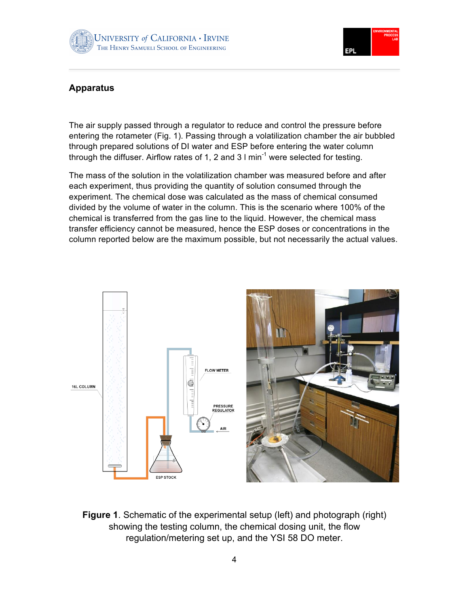



# **Apparatus**

The air supply passed through a regulator to reduce and control the pressure before entering the rotameter (Fig. 1). Passing through a volatilization chamber the air bubbled through prepared solutions of DI water and ESP before entering the water column through the diffuser. Airflow rates of 1, 2 and 3  $\text{I min}^{-1}$  were selected for testing.

The mass of the solution in the volatilization chamber was measured before and after each experiment, thus providing the quantity of solution consumed through the experiment. The chemical dose was calculated as the mass of chemical consumed divided by the volume of water in the column. This is the scenario where 100% of the chemical is transferred from the gas line to the liquid. However, the chemical mass transfer efficiency cannot be measured, hence the ESP doses or concentrations in the column reported below are the maximum possible, but not necessarily the actual values.



**Figure 1**. Schematic of the experimental setup (left) and photograph (right) showing the testing column, the chemical dosing unit, the flow regulation/metering set up, and the YSI 58 DO meter.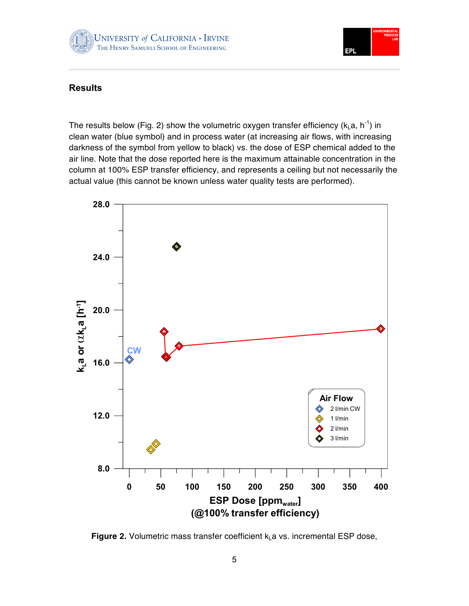



#### **Results**

The results below (Fig. 2) show the volumetric oxygen transfer efficiency ( $k<sub>L</sub>a$ , h<sup>-1</sup>) in clean water (blue symbol) and in process water (at increasing air flows, with increasing darkness of the symbol from yellow to black) vs. the dose of ESP chemical added to the air line. Note that the dose reported here is the maximum attainable concentration in the column at 100% ESP transfer efficiency, and represents a ceiling but not necessarily the actual value (this cannot be known unless water quality tests are performed).



Figure 2. Volumetric mass transfer coefficient k<sub>L</sub>a vs. incremental ESP dose,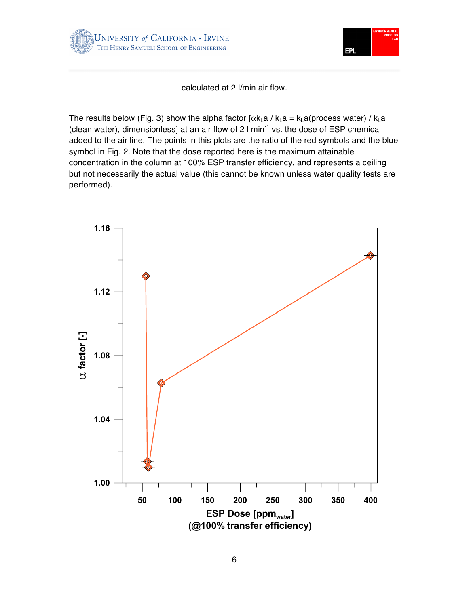



calculated at 2 l/min air flow.

The results below (Fig. 3) show the alpha factor  $[\alpha k_L a / k_L a = k_L a$ (process water) /  $k_L a$ (clean water), dimensionless] at an air flow of  $2 \mid min^{-1}$  vs. the dose of ESP chemical added to the air line. The points in this plots are the ratio of the red symbols and the blue symbol in Fig. 2. Note that the dose reported here is the maximum attainable concentration in the column at 100% ESP transfer efficiency, and represents a ceiling but not necessarily the actual value (this cannot be known unless water quality tests are performed).

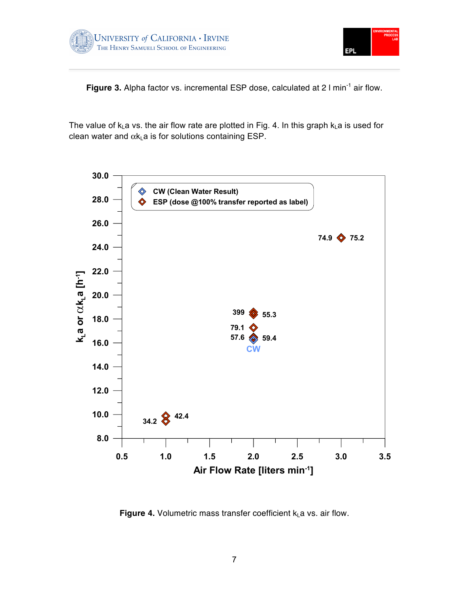



Figure 3. Alpha factor vs. incremental ESP dose, calculated at 2 I min<sup>-1</sup> air flow.

The value of  $k<sub>L</sub>a$  vs. the air flow rate are plotted in Fig. 4. In this graph  $k<sub>L</sub>a$  is used for clean water and  $\alpha k_{L}$ a is for solutions containing ESP.



Figure 4. Volumetric mass transfer coefficient  $k<sub>L</sub>$ a vs. air flow.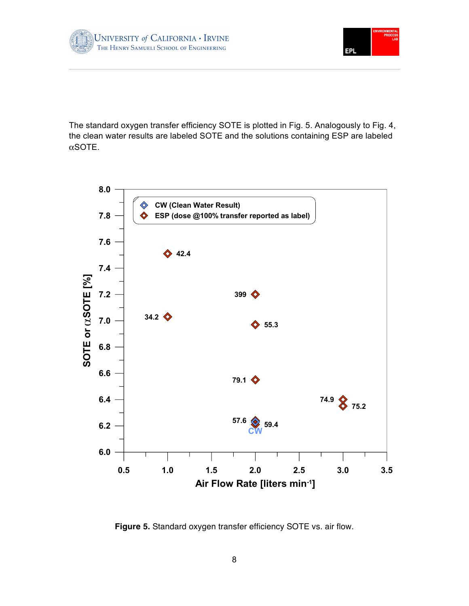



The standard oxygen transfer efficiency SOTE is plotted in Fig. 5. Analogously to Fig. 4, the clean water results are labeled SOTE and the solutions containing ESP are labeled  $\alpha$ SOTE.



Figure 5. Standard oxygen transfer efficiency SOTE vs. air flow.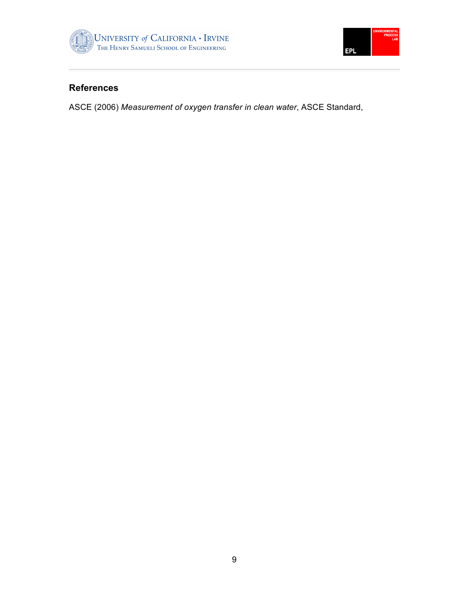



# **References**

ASCE (2006) *Measurement of oxygen transfer in clean water*, ASCE Standard,